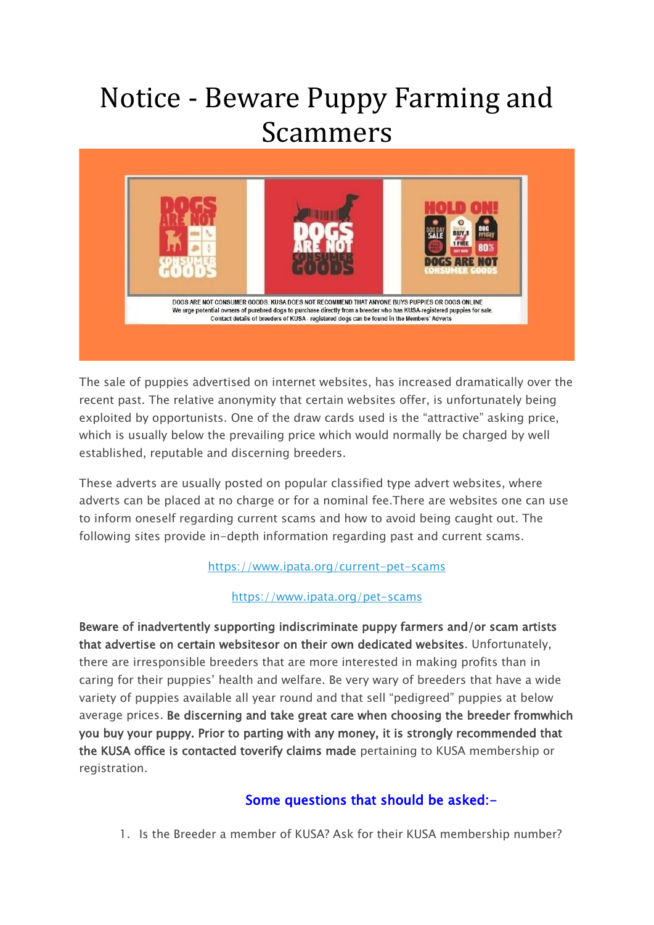## Notice - Beware Puppy Farming and Scammers



The sale of puppies advertised on internet websites, has increased dramatically over the recent past. The relative anonymity that certain websites offer, is unfortunately being exploited by opportunists. One of the draw cards used is the "attractive" asking price, which is usually below the prevailing price which would normally be charged by well established, reputable and discerning breeders.

These adverts are usually posted on popular classified type advert websites, where adverts can be placed at no charge or for a nominal fee.There are websites one can use to inform oneself regarding current scams and how to avoid being caught out. The following sites provide in-depth information regarding past and current scams.

## <https://www.ipata.org/current-pet-scams>

## <https://www.ipata.org/pet-scams>

Beware of inadvertently supporting indiscriminate puppy farmers and/or scam artists that advertise on certain websitesor on their own dedicated websites. Unfortunately, there are irresponsible breeders that are more interested in making profits than in caring for their puppies' health and welfare. Be very wary of breeders that have a wide variety of puppies available all year round and that sell "pedigreed" puppies at below average prices. Be discerning and take great care when choosing the breeder fromwhich you buy your puppy. Prior to parting with any money, it is strongly recommended that the KUSA office is contacted toverify claims made pertaining to KUSA membership or registration.

## Some questions that should be asked:-

1. Is the Breeder a member of KUSA? Ask for their KUSA membership number?